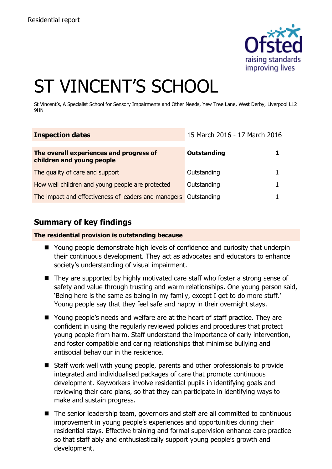

# ST VINCENT'S SCHOOL

St Vincent's, A Specialist School for Sensory Impairments and Other Needs, Yew Tree Lane, West Derby, Liverpool L12 9HN

| <b>Inspection dates</b>                                              | 15 March 2016 - 17 March 2016 |  |
|----------------------------------------------------------------------|-------------------------------|--|
| The overall experiences and progress of<br>children and young people | <b>Outstanding</b>            |  |
| The quality of care and support                                      | Outstanding                   |  |
| How well children and young people are protected                     | Outstanding                   |  |
| The impact and effectiveness of leaders and managers Outstanding     |                               |  |

# **Summary of key findings**

**The residential provision is outstanding because**

- Young people demonstrate high levels of confidence and curiosity that underpin their continuous development. They act as advocates and educators to enhance society's understanding of visual impairment.
- They are supported by highly motivated care staff who foster a strong sense of safety and value through trusting and warm relationships. One young person said, 'Being here is the same as being in my family, except I get to do more stuff.' Young people say that they feel safe and happy in their overnight stays.
- Young people's needs and welfare are at the heart of staff practice. They are confident in using the regularly reviewed policies and procedures that protect young people from harm. Staff understand the importance of early intervention, and foster compatible and caring relationships that minimise bullying and antisocial behaviour in the residence.
- Staff work well with young people, parents and other professionals to provide integrated and individualised packages of care that promote continuous development. Keyworkers involve residential pupils in identifying goals and reviewing their care plans, so that they can participate in identifying ways to make and sustain progress.
- The senior leadership team, governors and staff are all committed to continuous improvement in young people's experiences and opportunities during their residential stays. Effective training and formal supervision enhance care practice so that staff ably and enthusiastically support young people's growth and development.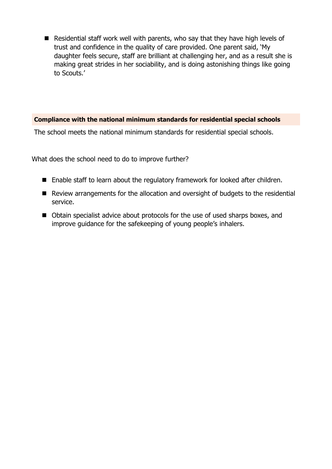Residential staff work well with parents, who say that they have high levels of trust and confidence in the quality of care provided. One parent said, 'My daughter feels secure, staff are brilliant at challenging her, and as a result she is making great strides in her sociability, and is doing astonishing things like going to Scouts.'

#### **Compliance with the national minimum standards for residential special schools**

The school meets the national minimum standards for residential special schools.

What does the school need to do to improve further?

- Enable staff to learn about the regulatory framework for looked after children.
- Review arrangements for the allocation and oversight of budgets to the residential service.
- Obtain specialist advice about protocols for the use of used sharps boxes, and improve guidance for the safekeeping of young people's inhalers.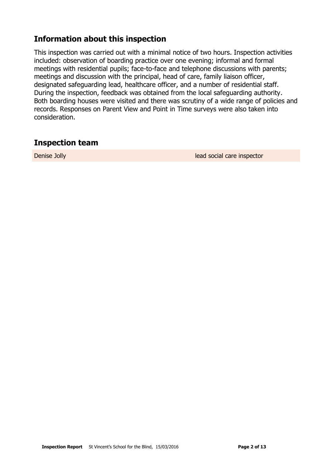# **Information about this inspection**

This inspection was carried out with a minimal notice of two hours. Inspection activities included: observation of boarding practice over one evening; informal and formal meetings with residential pupils; face-to-face and telephone discussions with parents; meetings and discussion with the principal, head of care, family liaison officer, designated safeguarding lead, healthcare officer, and a number of residential staff. During the inspection, feedback was obtained from the local safeguarding authority. Both boarding houses were visited and there was scrutiny of a wide range of policies and records. Responses on Parent View and Point in Time surveys were also taken into consideration.

## **Inspection team**

**Denise Jolly lead social care inspector**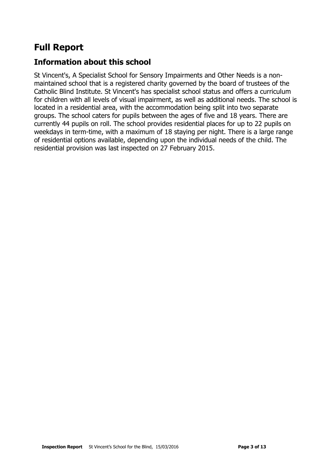# **Full Report**

# **Information about this school**

St Vincent's, A Specialist School for Sensory Impairments and Other Needs is a nonmaintained school that is a registered charity governed by the board of trustees of the Catholic Blind Institute. St Vincent's has specialist school status and offers a curriculum for children with all levels of visual impairment, as well as additional needs. The school is located in a residential area, with the accommodation being split into two separate groups. The school caters for pupils between the ages of five and 18 years. There are currently 44 pupils on roll. The school provides residential places for up to 22 pupils on weekdays in term-time, with a maximum of 18 staying per night. There is a large range of residential options available, depending upon the individual needs of the child. The residential provision was last inspected on 27 February 2015.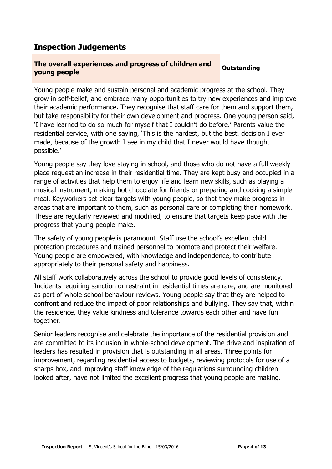# **Inspection Judgements**

### **The overall experiences and progress of children and young people Outstanding**

Young people make and sustain personal and academic progress at the school. They grow in self-belief, and embrace many opportunities to try new experiences and improve their academic performance. They recognise that staff care for them and support them, but take responsibility for their own development and progress. One young person said, 'I have learned to do so much for myself that I couldn't do before.' Parents value the residential service, with one saying, 'This is the hardest, but the best, decision I ever made, because of the growth I see in my child that I never would have thought possible.'

Young people say they love staying in school, and those who do not have a full weekly place request an increase in their residential time. They are kept busy and occupied in a range of activities that help them to enjoy life and learn new skills, such as playing a musical instrument, making hot chocolate for friends or preparing and cooking a simple meal. Keyworkers set clear targets with young people, so that they make progress in areas that are important to them, such as personal care or completing their homework. These are regularly reviewed and modified, to ensure that targets keep pace with the progress that young people make.

The safety of young people is paramount. Staff use the school's excellent child protection procedures and trained personnel to promote and protect their welfare. Young people are empowered, with knowledge and independence, to contribute appropriately to their personal safety and happiness.

All staff work collaboratively across the school to provide good levels of consistency. Incidents requiring sanction or restraint in residential times are rare, and are monitored as part of whole-school behaviour reviews. Young people say that they are helped to confront and reduce the impact of poor relationships and bullying. They say that, within the residence, they value kindness and tolerance towards each other and have fun together.

Senior leaders recognise and celebrate the importance of the residential provision and are committed to its inclusion in whole-school development. The drive and inspiration of leaders has resulted in provision that is outstanding in all areas. Three points for improvement, regarding residential access to budgets, reviewing protocols for use of a sharps box, and improving staff knowledge of the regulations surrounding children looked after, have not limited the excellent progress that young people are making.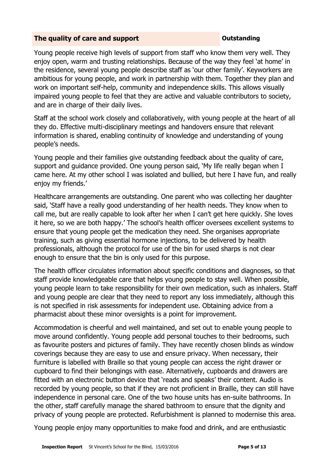#### **The quality of care and support CONSTANDING CONSTANDING CONSTANDING CONSTANDING CONSTANDING CONSTANDING CONSTANDING CONSTANDING CONSTANDING CONSTANDING CONSTANDING CONSTANDING CONSTANDING CONSTANDING CONSTANDING CONSTANDI**

Young people receive high levels of support from staff who know them very well. They enjoy open, warm and trusting relationships. Because of the way they feel 'at home' in the residence, several young people describe staff as 'our other family'. Keyworkers are ambitious for young people, and work in partnership with them. Together they plan and work on important self-help, community and independence skills. This allows visually impaired young people to feel that they are active and valuable contributors to society, and are in charge of their daily lives.

Staff at the school work closely and collaboratively, with young people at the heart of all they do. Effective multi-disciplinary meetings and handovers ensure that relevant information is shared, enabling continuity of knowledge and understanding of young people's needs.

Young people and their families give outstanding feedback about the quality of care, support and guidance provided. One young person said, 'My life really began when I came here. At my other school I was isolated and bullied, but here I have fun, and really enjoy my friends.'

Healthcare arrangements are outstanding. One parent who was collecting her daughter said, 'Staff have a really good understanding of her health needs. They know when to call me, but are really capable to look after her when I can't get here quickly. She loves it here, so we are both happy.' The school's health officer oversees excellent systems to ensure that young people get the medication they need. She organises appropriate training, such as giving essential hormone injections, to be delivered by health professionals, although the protocol for use of the bin for used sharps is not clear enough to ensure that the bin is only used for this purpose.

The health officer circulates information about specific conditions and diagnoses, so that staff provide knowledgeable care that helps young people to stay well. When possible, young people learn to take responsibility for their own medication, such as inhalers. Staff and young people are clear that they need to report any loss immediately, although this is not specified in risk assessments for independent use. Obtaining advice from a pharmacist about these minor oversights is a point for improvement.

Accommodation is cheerful and well maintained, and set out to enable young people to move around confidently. Young people add personal touches to their bedrooms, such as favourite posters and pictures of family. They have recently chosen blinds as window coverings because they are easy to use and ensure privacy. When necessary, their furniture is labelled with Braille so that young people can access the right drawer or cupboard to find their belongings with ease. Alternatively, cupboards and drawers are fitted with an electronic button device that 'reads and speaks' their content. Audio is recorded by young people, so that if they are not proficient in Braille, they can still have independence in personal care. One of the two house units has en-suite bathrooms. In the other, staff carefully manage the shared bathroom to ensure that the dignity and privacy of young people are protected. Refurbishment is planned to modernise this area.

Young people enjoy many opportunities to make food and drink, and are enthusiastic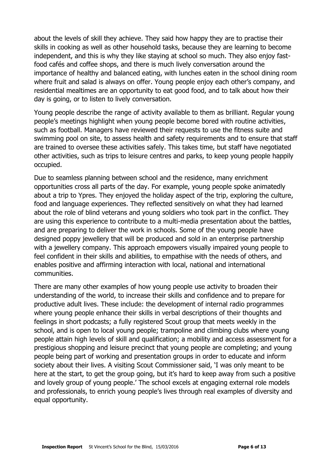about the levels of skill they achieve. They said how happy they are to practise their skills in cooking as well as other household tasks, because they are learning to become independent, and this is why they like staying at school so much. They also enjoy fastfood cafés and coffee shops, and there is much lively conversation around the importance of healthy and balanced eating, with lunches eaten in the school dining room where fruit and salad is always on offer. Young people enjoy each other's company, and residential mealtimes are an opportunity to eat good food, and to talk about how their day is going, or to listen to lively conversation.

Young people describe the range of activity available to them as brilliant. Regular young people's meetings highlight when young people become bored with routine activities, such as football. Managers have reviewed their requests to use the fitness suite and swimming pool on site, to assess health and safety requirements and to ensure that staff are trained to oversee these activities safely. This takes time, but staff have negotiated other activities, such as trips to leisure centres and parks, to keep young people happily occupied.

Due to seamless planning between school and the residence, many enrichment opportunities cross all parts of the day. For example, young people spoke animatedly about a trip to Ypres. They enjoyed the holiday aspect of the trip, exploring the culture, food and language experiences. They reflected sensitively on what they had learned about the role of blind veterans and young soldiers who took part in the conflict. They are using this experience to contribute to a multi-media presentation about the battles, and are preparing to deliver the work in schools. Some of the young people have designed poppy jewellery that will be produced and sold in an enterprise partnership with a jewellery company. This approach empowers visually impaired young people to feel confident in their skills and abilities, to empathise with the needs of others, and enables positive and affirming interaction with local, national and international communities.

There are many other examples of how young people use activity to broaden their understanding of the world, to increase their skills and confidence and to prepare for productive adult lives. These include: the development of internal radio programmes where young people enhance their skills in verbal descriptions of their thoughts and feelings in short podcasts; a fully registered Scout group that meets weekly in the school, and is open to local young people; trampoline and climbing clubs where young people attain high levels of skill and qualification; a mobility and access assessment for a prestigious shopping and leisure precinct that young people are completing; and young people being part of working and presentation groups in order to educate and inform society about their lives. A visiting Scout Commissioner said, 'I was only meant to be here at the start, to get the group going, but it's hard to keep away from such a positive and lovely group of young people.' The school excels at engaging external role models and professionals, to enrich young people's lives through real examples of diversity and equal opportunity.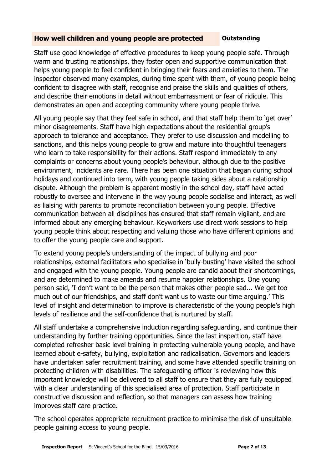#### **How well children and young people are protected and Dutstanding**

Staff use good knowledge of effective procedures to keep young people safe. Through warm and trusting relationships, they foster open and supportive communication that helps young people to feel confident in bringing their fears and anxieties to them. The inspector observed many examples, during time spent with them, of young people being confident to disagree with staff, recognise and praise the skills and qualities of others, and describe their emotions in detail without embarrassment or fear of ridicule. This demonstrates an open and accepting community where young people thrive.

All young people say that they feel safe in school, and that staff help them to 'get over' minor disagreements. Staff have high expectations about the residential group's approach to tolerance and acceptance. They prefer to use discussion and modelling to sanctions, and this helps young people to grow and mature into thoughtful teenagers who learn to take responsibility for their actions. Staff respond immediately to any complaints or concerns about young people's behaviour, although due to the positive environment, incidents are rare. There has been one situation that began during school holidays and continued into term, with young people taking sides about a relationship dispute. Although the problem is apparent mostly in the school day, staff have acted robustly to oversee and intervene in the way young people socialise and interact, as well as liaising with parents to promote reconciliation between young people. Effective communication between all disciplines has ensured that staff remain vigilant, and are informed about any emerging behaviour. Keyworkers use direct work sessions to help young people think about respecting and valuing those who have different opinions and to offer the young people care and support.

To extend young people's understanding of the impact of bullying and poor relationships, external facilitators who specialise in 'bully-busting' have visited the school and engaged with the young people. Young people are candid about their shortcomings, and are determined to make amends and resume happier relationships. One young person said, 'I don't want to be the person that makes other people sad... We get too much out of our friendships, and staff don't want us to waste our time arguing.' This level of insight and determination to improve is characteristic of the young people's high levels of resilience and the self-confidence that is nurtured by staff.

All staff undertake a comprehensive induction regarding safeguarding, and continue their understanding by further training opportunities. Since the last inspection, staff have completed refresher basic level training in protecting vulnerable young people, and have learned about e-safety, bullying, exploitation and radicalisation. Governors and leaders have undertaken safer recruitment training, and some have attended specific training on protecting children with disabilities. The safeguarding officer is reviewing how this important knowledge will be delivered to all staff to ensure that they are fully equipped with a clear understanding of this specialised area of protection. Staff participate in constructive discussion and reflection, so that managers can assess how training improves staff care practice.

The school operates appropriate recruitment practice to minimise the risk of unsuitable people gaining access to young people.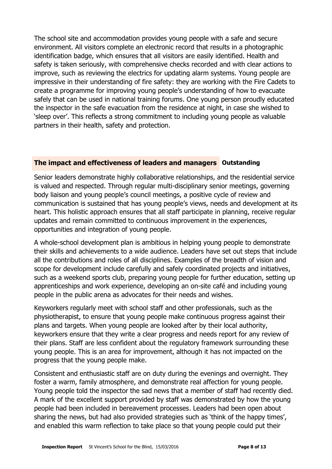The school site and accommodation provides young people with a safe and secure environment. All visitors complete an electronic record that results in a photographic identification badge, which ensures that all visitors are easily identified. Health and safety is taken seriously, with comprehensive checks recorded and with clear actions to improve, such as reviewing the electrics for updating alarm systems. Young people are impressive in their understanding of fire safety: they are working with the Fire Cadets to create a programme for improving young people's understanding of how to evacuate safely that can be used in national training forums. One young person proudly educated the inspector in the safe evacuation from the residence at night, in case she wished to 'sleep over'. This reflects a strong commitment to including young people as valuable partners in their health, safety and protection.

### **The impact and effectiveness of leaders and managers Outstanding**

Senior leaders demonstrate highly collaborative relationships, and the residential service is valued and respected. Through regular multi-disciplinary senior meetings, governing body liaison and young people's council meetings, a positive cycle of review and communication is sustained that has young people's views, needs and development at its heart. This holistic approach ensures that all staff participate in planning, receive regular updates and remain committed to continuous improvement in the experiences, opportunities and integration of young people.

A whole-school development plan is ambitious in helping young people to demonstrate their skills and achievements to a wide audience. Leaders have set out steps that include all the contributions and roles of all disciplines. Examples of the breadth of vision and scope for development include carefully and safely coordinated projects and initiatives, such as a weekend sports club, preparing young people for further education, setting up apprenticeships and work experience, developing an on-site café and including young people in the public arena as advocates for their needs and wishes.

Keyworkers regularly meet with school staff and other professionals, such as the physiotherapist, to ensure that young people make continuous progress against their plans and targets. When young people are looked after by their local authority, keyworkers ensure that they write a clear progress and needs report for any review of their plans. Staff are less confident about the regulatory framework surrounding these young people. This is an area for improvement, although it has not impacted on the progress that the young people make.

Consistent and enthusiastic staff are on duty during the evenings and overnight. They foster a warm, family atmosphere, and demonstrate real affection for young people. Young people told the inspector the sad news that a member of staff had recently died. A mark of the excellent support provided by staff was demonstrated by how the young people had been included in bereavement processes. Leaders had been open about sharing the news, but had also provided strategies such as 'think of the happy times', and enabled this warm reflection to take place so that young people could put their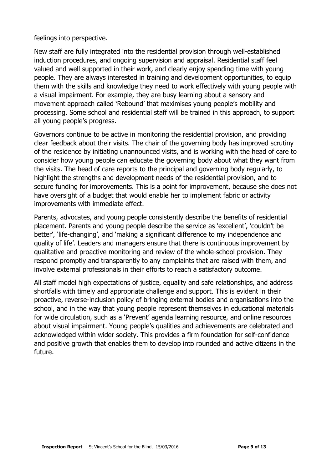feelings into perspective.

New staff are fully integrated into the residential provision through well-established induction procedures, and ongoing supervision and appraisal. Residential staff feel valued and well supported in their work, and clearly enjoy spending time with young people. They are always interested in training and development opportunities, to equip them with the skills and knowledge they need to work effectively with young people with a visual impairment. For example, they are busy learning about a sensory and movement approach called 'Rebound' that maximises young people's mobility and processing. Some school and residential staff will be trained in this approach, to support all young people's progress.

Governors continue to be active in monitoring the residential provision, and providing clear feedback about their visits. The chair of the governing body has improved scrutiny of the residence by initiating unannounced visits, and is working with the head of care to consider how young people can educate the governing body about what they want from the visits. The head of care reports to the principal and governing body regularly, to highlight the strengths and development needs of the residential provision, and to secure funding for improvements. This is a point for improvement, because she does not have oversight of a budget that would enable her to implement fabric or activity improvements with immediate effect.

Parents, advocates, and young people consistently describe the benefits of residential placement. Parents and young people describe the service as 'excellent', 'couldn't be better', 'life-changing', and 'making a significant difference to my independence and quality of life'. Leaders and managers ensure that there is continuous improvement by qualitative and proactive monitoring and review of the whole-school provision. They respond promptly and transparently to any complaints that are raised with them, and involve external professionals in their efforts to reach a satisfactory outcome.

All staff model high expectations of justice, equality and safe relationships, and address shortfalls with timely and appropriate challenge and support. This is evident in their proactive, reverse-inclusion policy of bringing external bodies and organisations into the school, and in the way that young people represent themselves in educational materials for wide circulation, such as a 'Prevent' agenda learning resource, and online resources about visual impairment. Young people's qualities and achievements are celebrated and acknowledged within wider society. This provides a firm foundation for self-confidence and positive growth that enables them to develop into rounded and active citizens in the future.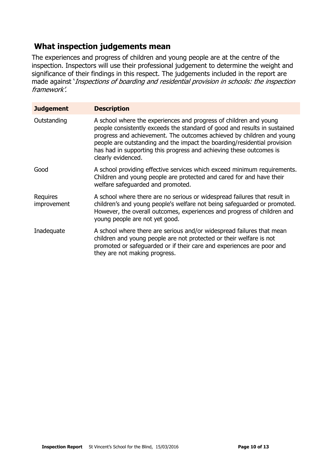# **What inspection judgements mean**

The experiences and progress of children and young people are at the centre of the inspection. Inspectors will use their professional judgement to determine the weight and significance of their findings in this respect. The judgements included in the report are made against 'Inspections of boarding and residential provision in schools: the inspection framework'.

| <b>Judgement</b>        | <b>Description</b>                                                                                                                                                                                                                                                                                                                                                                               |
|-------------------------|--------------------------------------------------------------------------------------------------------------------------------------------------------------------------------------------------------------------------------------------------------------------------------------------------------------------------------------------------------------------------------------------------|
| Outstanding             | A school where the experiences and progress of children and young<br>people consistently exceeds the standard of good and results in sustained<br>progress and achievement. The outcomes achieved by children and young<br>people are outstanding and the impact the boarding/residential provision<br>has had in supporting this progress and achieving these outcomes is<br>clearly evidenced. |
| Good                    | A school providing effective services which exceed minimum requirements.<br>Children and young people are protected and cared for and have their<br>welfare safequarded and promoted.                                                                                                                                                                                                            |
| Requires<br>improvement | A school where there are no serious or widespread failures that result in<br>children's and young people's welfare not being safeguarded or promoted.<br>However, the overall outcomes, experiences and progress of children and<br>young people are not yet good.                                                                                                                               |
| Inadequate              | A school where there are serious and/or widespread failures that mean<br>children and young people are not protected or their welfare is not<br>promoted or safeguarded or if their care and experiences are poor and<br>they are not making progress.                                                                                                                                           |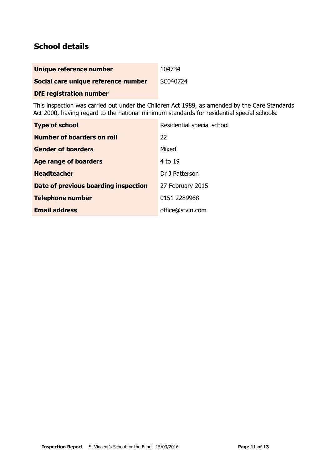# **School details**

| Unique reference number             | 104734   |
|-------------------------------------|----------|
| Social care unique reference number | SC040724 |

**DfE registration number**

This inspection was carried out under the Children Act 1989, as amended by the Care Standards Act 2000, having regard to the national minimum standards for residential special schools.

| <b>Type of school</b>                | Residential special school |
|--------------------------------------|----------------------------|
| Number of boarders on roll           | 22                         |
| <b>Gender of boarders</b>            | Mixed                      |
| Age range of boarders                | 4 to 19                    |
| <b>Headteacher</b>                   | Dr J Patterson             |
| Date of previous boarding inspection | 27 February 2015           |
| <b>Telephone number</b>              | 0151 2289968               |
| <b>Email address</b>                 | office@stvin.com           |